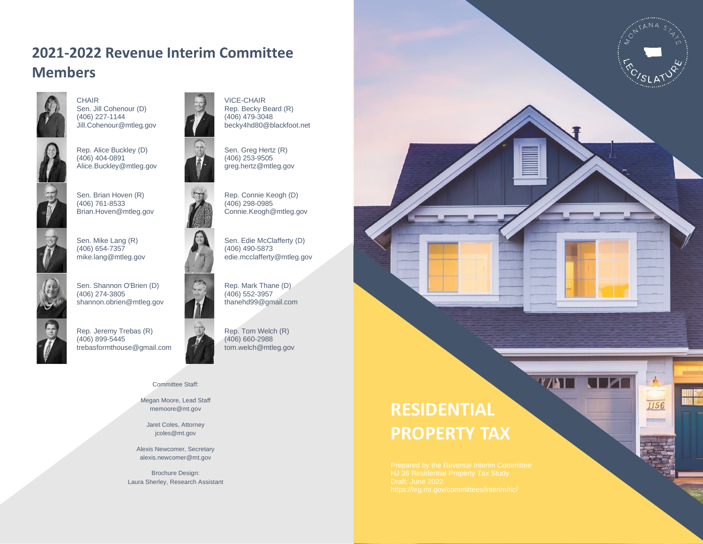#### **2021-2022 Revenue Interim Committee Members**



CHAIR Sen. Jill Cohenour (D) (406) 227-1144 Jill.Cohenour@mtleg.gov



Rep. Alice Buckley (D) (406) 404-0891 Alice.Buckley@mtleg.gov



Sen. Brian Hoven (R) (406) 761-8533 Brian.Hoven@mtleg.gov



Sen. Mike Lang (R) (406) 654-7357 mike.lang@mtleg.gov

Sen. Shannon O'Brien (D)

shannon.obrien@mtleg.gov

(406) 274-3805



Rep. Jeremy Trebas (R)



#### Committee Staff:

Megan Moore, Lead Staff memoore@mt.gov

Jaret Coles, Attorney jcoles@mt.gov

Alexis Newcomer, Secretary alexis.newcomer@mt.gov

Brochure Design: Laura Sherley, Research Assistant





Sen. Greg Hertz (R) (406) 253-9505 greg.hertz@mtleg.gov



Rep. Connie Keogh (D) (406) 298-0985 Connie.Keogh@mtleg.gov



Sen. Edie McClafferty (D) (406) 490-5873 edie.mcclafferty@mtleg.gov

Rep. Mark Thane (D) (406) 552-3957 thanehd99@gmail.com



Rep. Tom Welch (R) (406) 660-2988 tom.welch@mtleg.gov

# **RESIDENTIAL PROPERTY TAX**



 $-\frac{1}{2}$ 

1156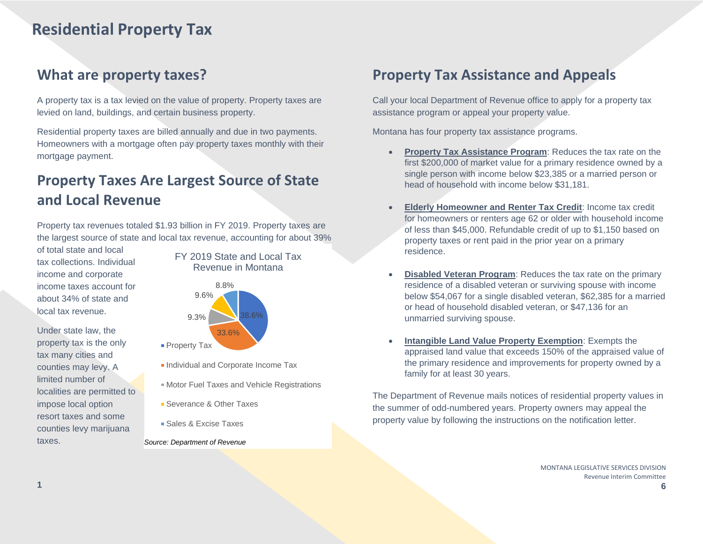## **Residential Property Tax**

#### **What are property taxes?**

A property tax is a tax levied on the value of property. Property taxes are levied on land, buildings, and certain business property.

Residential property taxes are billed annually and due in two payments. Homeowners with a mortgage often pay property taxes monthly with their mortgage payment.

#### **Property Taxes Are Largest Source of State and Local Revenue**

Property tax revenues totaled \$1.93 billion in FY 2019. Property taxes are the largest source of state and local tax revenue, accounting for about 39%

of total state and local tax collections. Individual income and corporate income taxes account for about 34% of state and local tax revenue.

Under state law, the property tax is the only tax many cities and counties may levy. A limited number of localities are permitted to impose local option resort taxes and some counties levy marijuana taxes.

FY 2019 State and Local Tax Revenue in Montana



- **Individual and Corporate Income Tax**
- Motor Fuel Taxes and Vehicle Registrations
- **Severance & Other Taxes**
- Sales & Excise Taxes
- *Source: Department of Revenue*

#### **Property Tax Assistance and Appeals**

Call your local Department of Revenue office to apply for a property tax assistance program or appeal your property value.

Montana has four property tax assistance programs.

- **Property Tax Assistance Program**: Reduces the tax rate on the first \$200,000 of market value for a primary residence owned by a single person with income below \$23,385 or a married person or head of household with income below \$31,181.
- **Elderly Homeowner and Renter Tax Credit**: Income tax credit for homeowners or renters age 62 or older with household income of less than \$45,000. Refundable credit of up to \$1,150 based on property taxes or rent paid in the prior year on a primary residence.
- **Disabled Veteran Program**: Reduces the tax rate on the primary residence of a disabled veteran or surviving spouse with income below \$54,067 for a single disabled veteran, \$62,385 for a married or head of household disabled veteran, or \$47,136 for an unmarried surviving spouse.
- **Intangible Land Value Property Exemption**: Exempts the appraised land value that exceeds 150% of the appraised value of the primary residence and improvements for property owned by a family for at least 30 years.

The Department of Revenue mails notices of residential property values in the summer of odd-numbered years. Property owners may appeal the property value by following the instructions on the notification letter.

> MONTANA LEGISLATIVE SERVICES DIVISION Revenue Interim Committee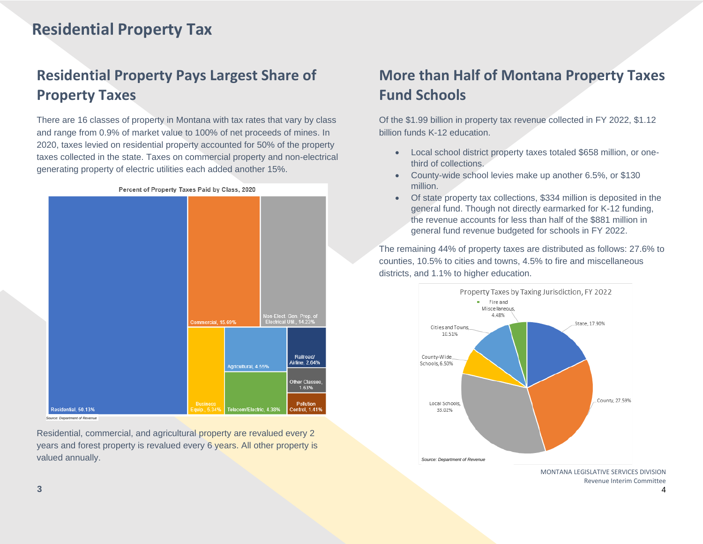## **Residential Property Tax**

## **Residential Property Pays Largest Share of Property Taxes**

There are 16 classes of property in Montana with tax rates that vary by class and range from 0.9% of market value to 100% of net proceeds of mines. In 2020, taxes levied on residential property accounted for 50% of the property taxes collected in the state. Taxes on commercial property and non-electrical generating property of electric utilities each added another 15%.



Residential, commercial, and agricultural property are revalued every 2 years and forest property is revalued every 6 years. All other property is valued annually.

#### **More than Half of Montana Property Taxes Fund Schools**

Of the \$1.99 billion in property tax revenue collected in FY 2022, \$1.12 billion funds K-12 education.

- Local school district property taxes totaled \$658 million, or onethird of collections.
- County-wide school levies make up another 6.5%, or \$130 million.
- Of state property tax collections, \$334 million is deposited in the general fund. Though not directly earmarked for K-12 funding, the revenue accounts for less than half of the \$881 million in general fund revenue budgeted for schools in FY 2022.

The remaining 44% of property taxes are distributed as follows: 27.6% to counties, 10.5% to cities and towns, 4.5% to fire and miscellaneous districts, and 1.1% to higher education.



Revenue Interim Committee

**3**

4